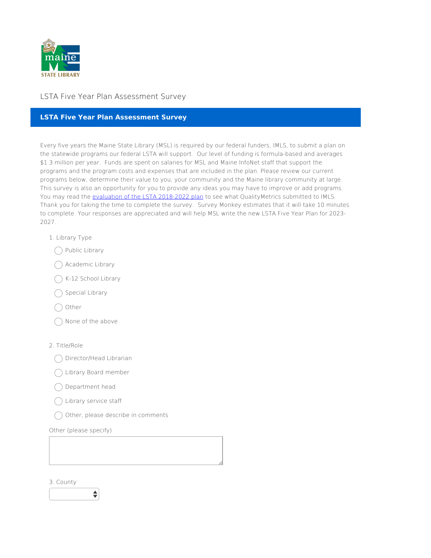

# LSTA Five Year Plan Assessment Survey

## **LSTA Five Year Plan Assessment Survey**

Every five years the Maine State Library (MSL) is required by our federal funders, IMLS, to submit a plan on the statewide programs our federal LSTA will support. Our level of funding is formula-based and averages \$1.3 million per year. Funds are spent on salaries for MSL and Maine InfoNet staff that support the programs and the program costs and expenses that are included in the plan. Please review our current programs below, determine their value to you, your community and the Maine library community at large. This survey is also an opportunity for you to provide any ideas you may have to improve or add programs. You may read the evaluation of the LSTA [2018-2022](https://www.maine.gov/msl/libs/lsta/documents/MAINEFINALREPORT-3-10-2022.pdf) plan to see what QualityMetrics submitted to IMLS. Thank you for taking the time to complete the survey. Survey Monkey estimates that it will take 10 minutes to complete. Your responses are appreciated and will help MSL write the new LSTA Five Year Plan for 2023- 2027.

- 1. Library Type
	- ◯ Public Library
	- Academic Library
	- ◯ K-12 School Library
	- $\bigcap$  Special Library
	- Other
	- None of the above

### 2. Title/Role

- Director/Head Librarian
- Library Board member
- Department head
- Library service staff
- $\bigcirc$  Other, please describe in comments

Other (please specify)

3. County

÷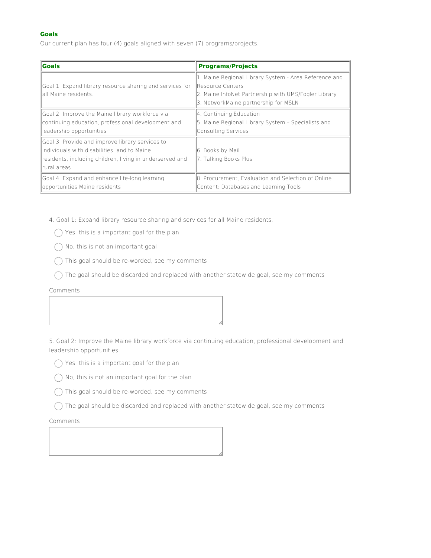## **Goals**

Our current plan has four (4) goals aligned with seven (7) programs/projects.

| <b>Goals</b>                                                                                                                                                                 | <b>Programs/Projects</b>                                                                                                                                                          |
|------------------------------------------------------------------------------------------------------------------------------------------------------------------------------|-----------------------------------------------------------------------------------------------------------------------------------------------------------------------------------|
| Goal 1: Expand library resource sharing and services for<br>lall Maine residents.                                                                                            | 1. Maine Regional Library System - Area Reference and<br><b>IResource Centers</b><br>2. Maine InfoNet Partnership with UMS/Fogler Library<br>3. NetworkMaine partnership for MSLN |
| Goal 2: Improve the Maine library workforce via<br>continuing education, professional development and<br>leadership opportunities                                            | 4. Continuing Education<br>5. Maine Regional Library System - Specialists and<br>Consulting Services                                                                              |
| Goal 3: Provide and improve library services to<br>lindividuals with disabilities; and to Maine<br>residents, including children, living in underserved and<br>Irural areas. | 6. Books by Mail<br>7. Talking Books Plus                                                                                                                                         |
| Goal 4: Expand and enhance life-long learning<br>opportunities Maine residents                                                                                               | 8. Procurement, Evaluation and Selection of Online<br>Content: Databases and Learning Tools                                                                                       |

4. Goal 1: Expand library resource sharing and services for all Maine residents.

 $\bigcirc$  Yes, this is a important goal for the plan

- $\bigcirc$  No, this is not an important goal
- $\bigcap$  This goal should be re-worded, see my comments
- $\bigcap$  The goal should be discarded and replaced with another statewide goal, see my comments

Comments

5. Goal 2: Improve the Maine library workforce via continuing education, professional development and leadership opportunities

- $\bigcap$  Yes, this is a important goal for the plan
- $\bigcap$  No, this is not an important goal for the plan
- This goal should be re-worded, see my comments
- $\bigcirc$  The goal should be discarded and replaced with another statewide goal, see my comments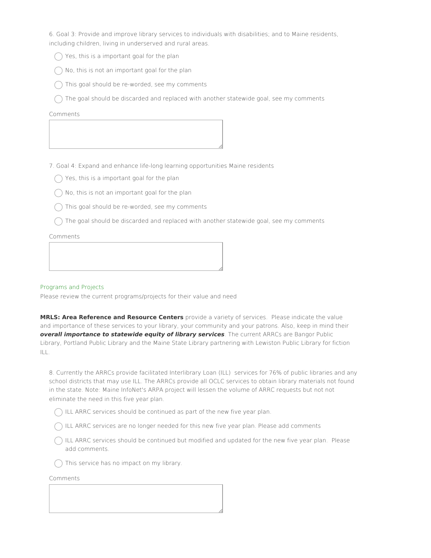6. Goal 3: Provide and improve library services to individuals with disabilities; and to Maine residents, including children, living in underserved and rural areas.

- $\bigcap$  Yes, this is a important goal for the plan
- No, this is not an important goal for the plan
- $\bigcap$  This goal should be re-worded, see my comments
- $\bigcap$  The goal should be discarded and replaced with another statewide goal, see my comments

#### Comments

7. Goal 4: Expand and enhance life‐long learning opportunities Maine residents

- $\bigcap$  Yes, this is a important goal for the plan
- $\bigcap$  No, this is not an important goal for the plan
- $\bigcap$  This goal should be re-worded, see my comments
- $\bigcap$  The goal should be discarded and replaced with another statewide goal, see my comments

Comments

#### Programs and Projects

Please review the current programs/projects for their value and need

**MRLS: Area Reference and Resource Centers** provide a variety of services. Please indicate the value and importance of these services to your library, your community and your patrons. Also, keep in mind their **overall importance to statewide equity of library services**. The current ARRCs are Bangor Public Library, Portland Public Library and the Maine State Library partnering with Lewiston Public Library for fiction ILL.

8. Currently the ARRCs provide facilitated Interlibrary Loan (ILL) services for 76% of public libraries and any school districts that may use ILL. The ARRCs provide all OCLC services to obtain library materials not found in the state. Note: Maine InfoNet's ARPA project will lessen the volume of ARRC requests but not not eliminate the need in this five year plan.

 $\bigcap$  ILL ARRC services should be continued as part of the new five year plan.

 $\bigcap$  ILL ARRC services are no longer needed for this new five year plan. Please add comments

 $\bigcap$  ILL ARRC services should be continued but modified and updated for the new five year plan. Please add comments.

 $\bigcap$  This service has no impact on my library.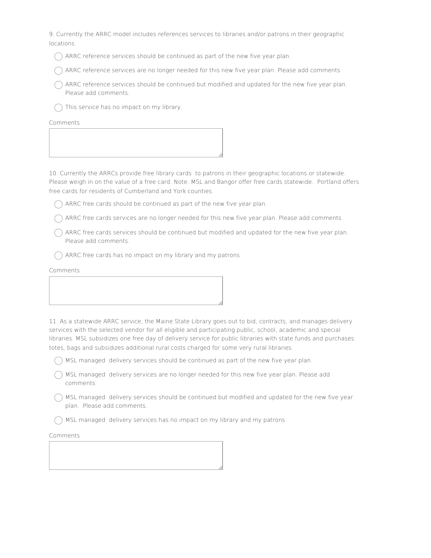9. Currently the ARRC model includes references services to libraries and/or patrons in their geographic locations.

 $\bigcap$  ARRC reference services should be continued as part of the new five year plan.

ARRC reference services are no longer needed for this new five year plan. Please add comments

 $\bigcap$  ARRC reference services should be continued but modified and updated for the new five year plan. Please add comments.

 $\bigcap$  This service has no impact on my library.

Comments

10. Currently the ARRCs provide free library cards to patrons in their geographic locations or statewide. Please weigh in on the value of a free card. Note: MSL and Bangor offer free cards statewide. Portland offers free cards for residents of Cumberland and York counties.

 $\bigcap$  ARRC free cards should be continued as part of the new five year plan.

 $\bigcap$  ARRC free cards services are no longer needed for this new five year plan. Please add comments

 $\bigcap$  ARRC free cards services should be continued but modified and updated for the new five year plan. Please add comments.

 $\bigcap$  ARRC free cards has no impact on my library and my patrons

Comments

11. As a statewide ARRC service, the Maine State Library goes out to bid, contracts, and manages delivery services with the selected vendor for all eligible and participating public, school, academic and special

libraries. MSL subsidizes one free day of delivery service for public libraries with state funds and purchases totes, bags and subsidizes additional rural costs charged for some very rural libraries.

 $\bigcap$  MSL managed delivery services should be continued as part of the new five year plan.

MSL managed delivery services are no longer needed for this new five year plan. Please add comments

 $\bigcap$  MSL managed delivery services should be continued but modified and updated for the new five year plan. Please add comments.

MSL managed delivery services has no impact on my library and my patrons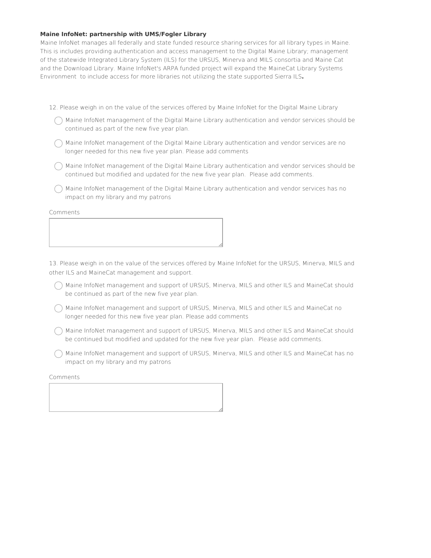#### **Maine InfoNet: partnership with UMS/Fogler Library**

Maine InfoNet manages all federally and state funded resource sharing services for all library types in Maine. This is includes providing authentication and access management to the Digital Maine Library; management of the statewide Integrated Library System (ILS) for the URSUS, Minerva and MILS consortia and Maine Cat and the Download Library. Maine InfoNet's ARPA funded project will expand the MaineCat Library Systems Environment to include access for more libraries not utilizing the state supported Sierra ILS**.**

- 12. Please weigh in on the value of the services offered by Maine InfoNet for the Digital Maine Library
	- $\bigcap$  Maine InfoNet management of the Digital Maine Library authentication and vendor services should be continued as part of the new five year plan.
	- $\bigcap$  Maine InfoNet management of the Digital Maine Library authentication and vendor services are no longer needed for this new five year plan. Please add comments
	- $\bigcap$  Maine InfoNet management of the Digital Maine Library authentication and vendor services should be continued but modified and updated for the new five year plan. Please add comments.
	- Maine InfoNet management of the Digital Maine Library authentication and vendor services has no impact on my library and my patrons

Comments

13. Please weigh in on the value of the services offered by Maine InfoNet for the URSUS, Minerva, MILS and other ILS and MaineCat management and support.

- Maine InfoNet management and support of URSUS, Minerva, MILS and other ILS and MaineCat should be continued as part of the new five year plan.
- Maine InfoNet management and support of URSUS, Minerva, MILS and other ILS and MaineCat no longer needed for this new five year plan. Please add comments
- Maine InfoNet management and support of URSUS, Minerva, MILS and other ILS and MaineCat should be continued but modified and updated for the new five year plan. Please add comments.
- Maine InfoNet management and support of URSUS, Minerva, MILS and other ILS and MaineCat has no impact on my library and my patrons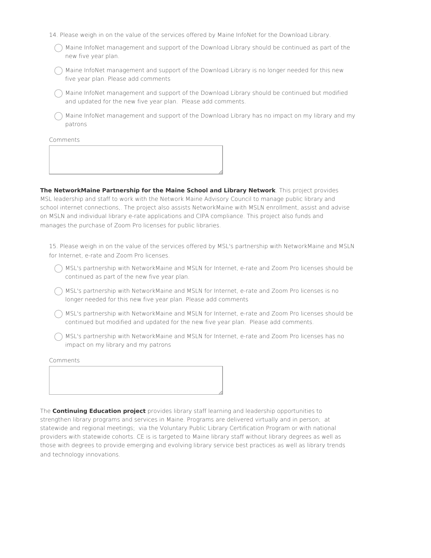- 14. Please weigh in on the value of the services offered by Maine InfoNet for the Download Library.
	- $\bigcap$  Maine InfoNet management and support of the Download Library should be continued as part of the new five year plan.
	- $\bigcap$  Maine InfoNet management and support of the Download Library is no longer needed for this new five year plan. Please add comments
	- $\bigcap$  Maine InfoNet management and support of the Download Library should be continued but modified and updated for the new five year plan. Please add comments.
	- $\bigcap$  Maine InfoNet management and support of the Download Library has no impact on my library and my patrons

Comments

**The NetworkMaine Partnership for the Maine School and Library Network**. This project provides MSL leadership and staff to work with the Network Maine Advisory Council to manage public library and school internet connections,. The project also assists NetworkMaine with MSLN enrollment, assist and advise on MSLN and individual library e-rate applications and CIPA compliance. This project also funds and manages the purchase of Zoom Pro licenses for public libraries.

15. Please weigh in on the value of the services offered by MSL's partnership with NetworkMaine and MSLN for Internet, e-rate and Zoom Pro licenses.

- $\bigcap$  MSL's partnership with NetworkMaine and MSLN for Internet, e-rate and Zoom Pro licenses should be continued as part of the new five year plan.
- $\bigcap$  MSL's partnership with NetworkMaine and MSLN for Internet, e-rate and Zoom Pro licenses is no longer needed for this new five year plan. Please add comments
- $\bigcap$  MSL's partnership with NetworkMaine and MSLN for Internet, e-rate and Zoom Pro licenses should be continued but modified and updated for the new five year plan. Please add comments.
- $\bigcap$  MSL's partnership with NetworkMaine and MSLN for Internet, e-rate and Zoom Pro licenses has no impact on my library and my patrons

Comments

The **Continuing Education project** provides library staff learning and leadership opportunities to strengthen library programs and services in Maine. Programs are delivered virtually and in person; at statewide and regional meetings; via the Voluntary Public Library Certification Program or with national providers with statewide cohorts. CE is is targeted to Maine library staff without library degrees as well as those with degrees to provide emerging and evolving library service best practices as well as library trends and technology innovations.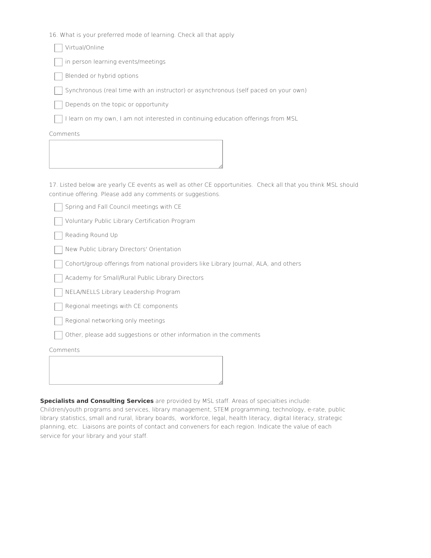16. What is your preferred mode of learning. Check all that apply

| Virtual/Online                                                                      |
|-------------------------------------------------------------------------------------|
| in person learning events/meetings                                                  |
| Blended or hybrid options                                                           |
| Synchronous (real time with an instructor) or asynchronous (self paced on your own) |
| Depends on the topic or opportunity                                                 |
| I learn on my own, I am not interested in continuing education offerings from MSL   |
| Comments                                                                            |
|                                                                                     |
|                                                                                     |

17. Listed below are yearly CE events as well as other CE opportunities. Check all that you think MSL should continue offering. Please add any comments or suggestions.

|  |  |  |  |  | Spring and Fall Council meetings with CE |  |  |
|--|--|--|--|--|------------------------------------------|--|--|
|--|--|--|--|--|------------------------------------------|--|--|

Voluntary Public Library Certification Program

Reading Round Up

New Public Library Directors' Orientation

Cohort/group offerings from national providers like Library Journal, ALA, and others

Academy for Small/Rural Public Library Directors

NELA/NELLS Library Leadership Program

Regional meetings with CE components

Regional networking only meetings

Other, please add suggestions or other information in the comments

Comments

**Specialists and Consulting Services** are provided by MSL staff. Areas of specialties include:

Children/youth programs and services, library management, STEM programming, technology, e-rate, public library statistics, small and rural, library boards, workforce, legal, health literacy, digital literacy, strategic planning, etc. Liaisons are points of contact and conveners for each region. Indicate the value of each service for your library and your staff.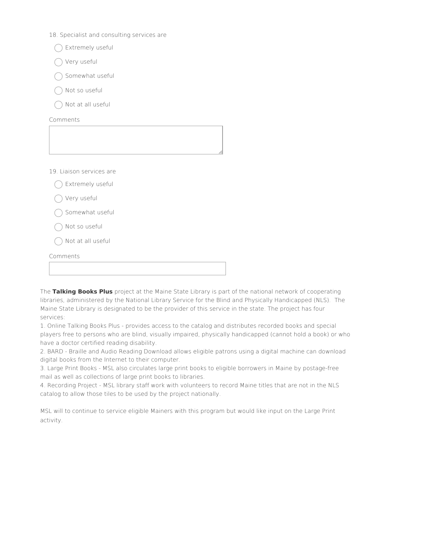- 18. Specialist and consulting services are
	- ◯ Extremely useful
	- Very useful
	- Somewhat useful
	- Not so useful
	- Not at all useful

Comments

19. Liaison services are

| Extremely useful  |  |
|-------------------|--|
| Very useful       |  |
| Somewhat useful   |  |
| Not so useful     |  |
| Not at all useful |  |
| Comments          |  |
|                   |  |

The **Talking Books Plus** project at the Maine State Library is part of the national network of cooperating libraries, administered by the National Library Service for the Blind and Physically Handicapped (NLS). The Maine State Library is designated to be the provider of this service in the state. The project has four services:

1. Online Talking Books Plus - provides access to the catalog and distributes recorded books and special players free to persons who are blind, visually impaired, physically handicapped (cannot hold a book) or who have a doctor certified reading disability.

2. BARD ‐ Braille and Audio Reading Download allows eligible patrons using a digital machine can download digital books from the Internet to their computer.

3. Large Print Books - MSL also circulates large print books to eligible borrowers in Maine by postage‐free mail as well as collections of large print books to libraries.

4. Recording Project - MSL library staff work with volunteers to record Maine titles that are not in the NLS catalog to allow those tiles to be used by the project nationally.

MSL will to continue to service eligible Mainers with this program but would like input on the Large Print activity.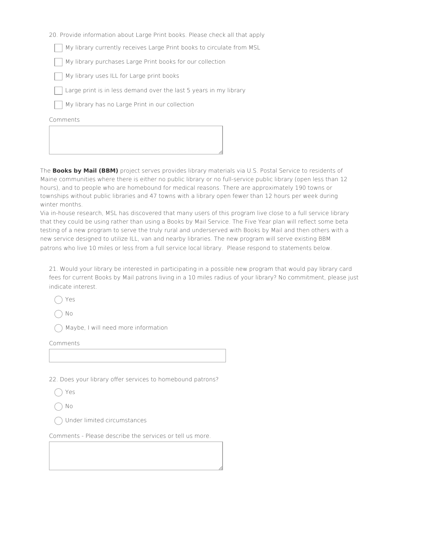20. Provide information about Large Print books. Please check all that apply

My library currently receives Large Print books to circulate from MSL

My library purchases Large Print books for our collection

My library uses ILL for Large print books

Large print is in less demand over the last 5 years in my library

My library has no Large Print in our collection

Comments

The **Books by Mail (BBM)** project serves provides library materials via U.S. Postal Service to residents of Maine communities where there is either no public library or no full-service public library (open less than 12 hours), and to people who are homebound for medical reasons. There are approximately 190 towns or townships without public libraries and 47 towns with a library open fewer than 12 hours per week during winter months.

Via in-house research, MSL has discovered that many users of this program live close to a full service library that they could be using rather than using a Books by Mail Service. The Five Year plan will reflect some beta testing of a new program to serve the truly rural and underserved with Books by Mail and then others with a new service designed to utilize ILL, van and nearby libraries. The new program will serve existing BBM patrons who live 10 miles or less from a full service local library. Please respond to statements below.

21. Would your library be interested in participating in a possible new program that would pay library card fees for current Books by Mail patrons living in a 10 miles radius of your library? No commitment, please just indicate interest.

Yes

No

 $\bigcap$  Maybe, I will need more information

Comments

22. Does your library offer services to homebound patrons?

Yes

No

Under limited circumstances

Comments - Please describe the services or tell us more.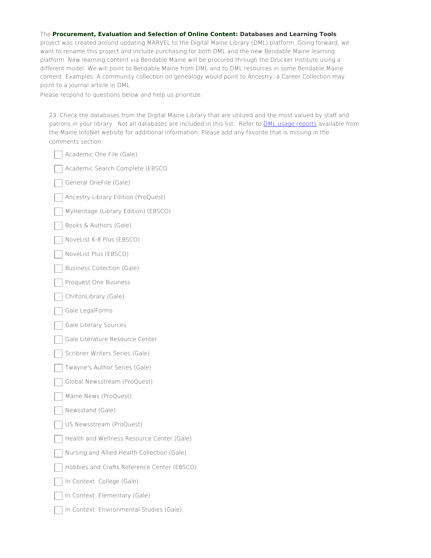## The **Procurement, Evaluation and Selection of Online Content: Databases and Learning Tools**

project was created around updating MARVEL to the Digital Maine Library (DML) platform. Going forward, we want to rename this project and include purchasing for both DML and the new Bendable Maine learning platform. New learning content via Bendable Maine will be procured through the Drucker Institute using a different model. We will point to Bendable Maine from DML and to DML resources in some Bendable Maine content. Examples: A community collection on genealogy would point to Ancestry; a Career Collection may point to a journal article in DML.

Please respond to questions below and help us prioritize.

23. Check the databases from the Digital Maine Library that are utilized and the most valued by staff and patrons in your library. Not all databases are included in this list. Refer to **DML** usage [reports](https://www.maineinfonet.org/digitalmainelibrary/statistics/) available from the Maine InfoNet website for additional information. Please add any favorite that is missing in the comments section.

| Academic One File (Gale)                    |
|---------------------------------------------|
| Academic Search Complete (EBSCO             |
| General OneFile (Gale)                      |
| Ancestry Library Edition (ProQuest)         |
| MyHeritage (Library Edition) (EBSCO)        |
| Books & Authors (Gale)                      |
| NoveList K-8 Plus (EBSCO)                   |
| NoveList Plus (EBSCO)                       |
| <b>Business Collection (Gale)</b>           |
| Proquest One Business                       |
| ChiltonLibrary (Gale)                       |
| Gale LegalForms                             |
| Gale Literary Sources                       |
| Gale Literature Resource Center             |
| Scribner Writers Series (Gale)              |
| Twayne's Author Series (Gale)               |
| Global Newsstream (ProQuest)                |
| Maine News (ProQuest)                       |
| Newsstand (Gale)                            |
| US Newsstream (ProQuest)                    |
| Health and Wellness Resource Center (Gale)  |
| Nursing and Allied Health Collection (Gale) |
| Hobbies and Crafts Reference Center (EBSCO) |
| In Context: College (Gale)                  |
| In Context: Elementary (Gale)               |
| In Context: Environmental Studies (Gale)    |